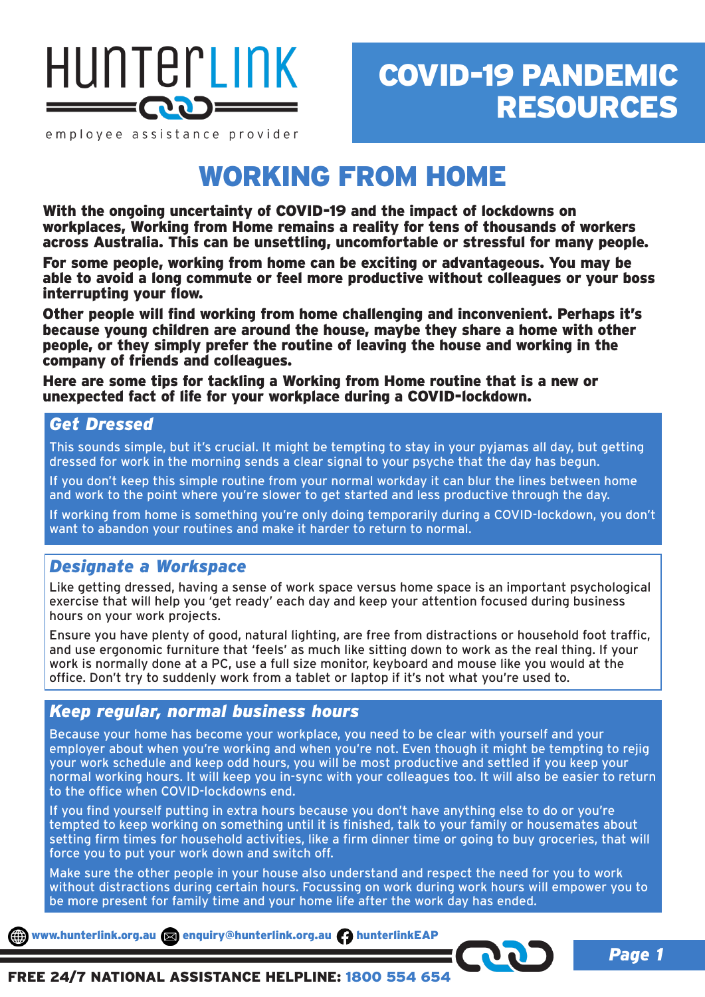

## COVID-19 PANDEMIC RESOURCES

employee assistance provider

## WORKING FROM HOME

With the ongoing uncertainty of COVID-19 and the impact of lockdowns on workplaces, Working from Home remains a reality for tens of thousands of workers across Australia. This can be unsettling, uncomfortable or stressful for many people.

For some people, working from home can be exciting or advantageous. You may be able to avoid a long commute or feel more productive without colleagues or your boss interrupting your flow.

Other people will find working from home challenging and inconvenient. Perhaps it's because young children are around the house, maybe they share a home with other people, or they simply prefer the routine of leaving the house and working in the company of friends and colleagues.

Here are some tips for tackling a Working from Home routine that is a new or unexpected fact of life for your workplace during a COVID-lockdown.

#### *Get Dressed*

This sounds simple, but it's crucial. It might be tempting to stay in your pyjamas all day, but getting dressed for work in the morning sends a clear signal to your psyche that the day has begun.

If you don't keep this simple routine from your normal workday it can blur the lines between home and work to the point where you're slower to get started and less productive through the day.

If working from home is something you're only doing temporarily during a COVID-lockdown, you don't want to abandon your routines and make it harder to return to normal.

### *Designate a Workspace*

Like getting dressed, having a sense of work space versus home space is an important psychological exercise that will help you 'get ready' each day and keep your attention focused during business hours on your work projects.

Ensure you have plenty of good, natural lighting, are free from distractions or household foot traffic, and use ergonomic furniture that 'feels' as much like sitting down to work as the real thing. If your work is normally done at a PC, use a full size monitor, keyboard and mouse like you would at the office. Don't try to suddenly work from a tablet or laptop if it's not what you're used to.

### *Keep regular, normal business hours*

Because your home has become your workplace, you need to be clear with yourself and your employer about when you're working and when you're not. Even though it might be tempting to rejig your work schedule and keep odd hours, you will be most productive and settled if you keep your normal working hours. It will keep you in-sync with your colleagues too. It will also be easier to return to the office when COVID-lockdowns end.

If you find yourself putting in extra hours because you don't have anything else to do or you're tempted to keep working on something until it is finished, talk to your family or housemates about setting firm times for household activities, like a firm dinner time or going to buy groceries, that will force you to put your work down and switch off.

Make sure the other people in your house also understand and respect the need for you to work without distractions during certain hours. Focussing on work during work hours will empower you to be more present for family time and your home life after the work day has ended.

www.hunterlink.org.au and enquiry@hunterlink.org.au hunterlinkEAP

#### FREE 24/7 NATIONAL ASSISTANCE HELPLINE: 1800 554 654